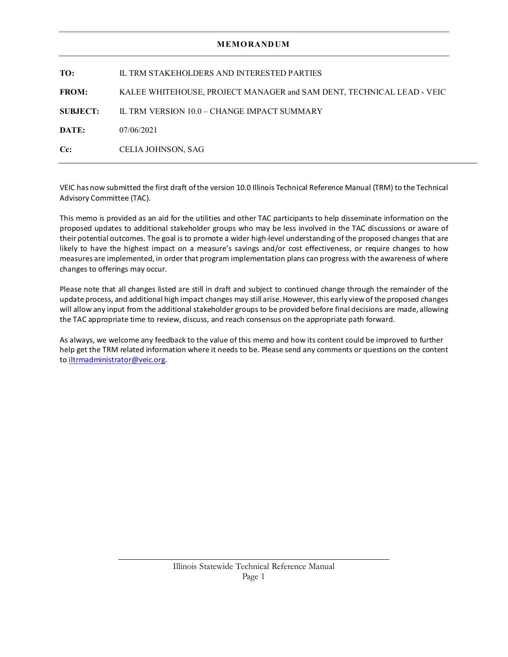## **MEMORANDUM**

| TO:             | IL TRM STAKEHOLDERS AND INTERESTED PARTIES                            |  |
|-----------------|-----------------------------------------------------------------------|--|
| <b>FROM:</b>    | KALEE WHITEHOUSE, PROJECT MANAGER and SAM DENT, TECHNICAL LEAD - VEIC |  |
| <b>SUBJECT:</b> | IL TRM VERSION 10.0 – CHANGE IMPACT SUMMARY                           |  |
| DATE:           | 07/06/2021                                                            |  |
| $Cc$ :          | CELIA JOHNSON, SAG                                                    |  |

VEIC has now submitted the first draft of the version 10.0 Illinois Technical Reference Manual (TRM) to the Technical Advisory Committee (TAC).

This memo is provided as an aid for the utilities and other TAC participants to help disseminate information on the proposed updates to additional stakeholder groups who may be less involved in the TAC discussions or aware of their potential outcomes. The goal is to promote a wider high-level understanding of the proposed changes that are likely to have the highest impact on a measure's savings and/or cost effectiveness, or require changes to how measures are implemented, in order that program implementation plans can progress with the awareness of where changes to offerings may occur.

Please note that all changes listed are still in draft and subject to continued change through the remainder of the update process, and additional high impact changes may still arise. However, this early view of the proposed changes will allow any input from the additional stakeholder groups to be provided before final decisions are made, allowing the TAC appropriate time to review, discuss, and reach consensus on the appropriate path forward.

As always, we welcome any feedback to the value of this memo and how its content could be improved to further help get the TRM related information where it needs to be. Please send any comments or questions on the content to [iltrmadministrator@veic.org.](mailto:iltrmadministrator@veic.org)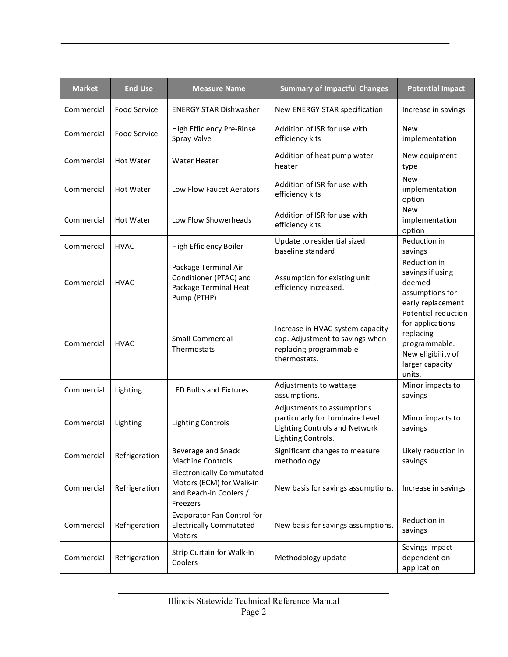| <b>Market</b> | <b>End Use</b>      | <b>Measure Name</b>                                                                                | <b>Summary of Impactful Changes</b>                                                                                   | <b>Potential Impact</b>                                                                                                  |
|---------------|---------------------|----------------------------------------------------------------------------------------------------|-----------------------------------------------------------------------------------------------------------------------|--------------------------------------------------------------------------------------------------------------------------|
| Commercial    | <b>Food Service</b> | <b>ENERGY STAR Dishwasher</b>                                                                      | New ENERGY STAR specification                                                                                         | Increase in savings                                                                                                      |
| Commercial    | <b>Food Service</b> | High Efficiency Pre-Rinse<br>Spray Valve                                                           | Addition of ISR for use with<br>efficiency kits                                                                       | <b>New</b><br>implementation                                                                                             |
| Commercial    | Hot Water           | Water Heater                                                                                       | Addition of heat pump water<br>heater                                                                                 | New equipment<br>type                                                                                                    |
| Commercial    | <b>Hot Water</b>    | Low Flow Faucet Aerators                                                                           | Addition of ISR for use with<br>efficiency kits                                                                       | <b>New</b><br>implementation<br>option                                                                                   |
| Commercial    | <b>Hot Water</b>    | Low Flow Showerheads                                                                               | Addition of ISR for use with<br>efficiency kits                                                                       | <b>New</b><br>implementation<br>option                                                                                   |
| Commercial    | <b>HVAC</b>         | High Efficiency Boiler                                                                             | Update to residential sized<br>baseline standard                                                                      | Reduction in<br>savings                                                                                                  |
| Commercial    | HVAC                | Package Terminal Air<br>Conditioner (PTAC) and<br>Package Terminal Heat<br>Pump (PTHP)             | Assumption for existing unit<br>efficiency increased.                                                                 | Reduction in<br>savings if using<br>deemed<br>assumptions for<br>early replacement                                       |
| Commercial    | <b>HVAC</b>         | <b>Small Commercial</b><br>Thermostats                                                             | Increase in HVAC system capacity<br>cap. Adjustment to savings when<br>replacing programmable<br>thermostats.         | Potential reduction<br>for applications<br>replacing<br>programmable.<br>New eligibility of<br>larger capacity<br>units. |
| Commercial    | Lighting            | LED Bulbs and Fixtures                                                                             | Adjustments to wattage<br>assumptions.                                                                                | Minor impacts to<br>savings                                                                                              |
| Commercial    | Lighting            | <b>Lighting Controls</b>                                                                           | Adjustments to assumptions<br>particularly for Luminaire Level<br>Lighting Controls and Network<br>Lighting Controls. | Minor impacts to<br>savings                                                                                              |
| Commercial    | Refrigeration       | Beverage and Snack<br><b>Machine Controls</b>                                                      | Significant changes to measure<br>methodology.                                                                        | Likely reduction in<br>savings                                                                                           |
| Commercial    | Refrigeration       | <b>Electronically Commutated</b><br>Motors (ECM) for Walk-in<br>and Reach-in Coolers /<br>Freezers | New basis for savings assumptions.                                                                                    | Increase in savings                                                                                                      |
| Commercial    | Refrigeration       | Evaporator Fan Control for<br><b>Electrically Commutated</b><br>Motors                             | New basis for savings assumptions.                                                                                    | Reduction in<br>savings                                                                                                  |
| Commercial    | Refrigeration       | Strip Curtain for Walk-In<br>Coolers                                                               | Methodology update                                                                                                    | Savings impact<br>dependent on<br>application.                                                                           |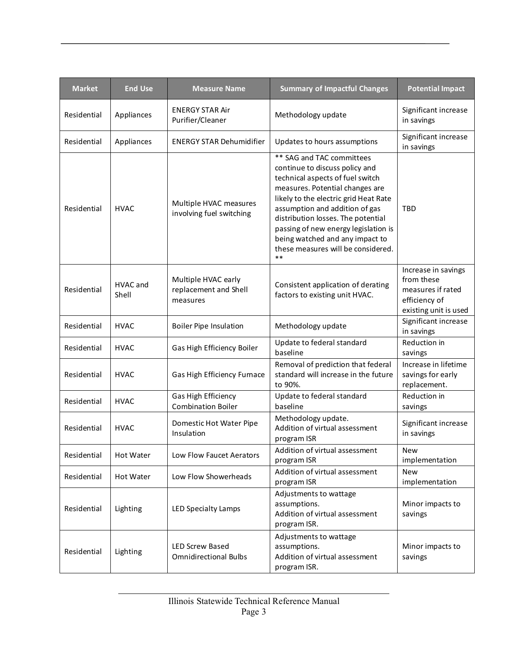| <b>Market</b> | <b>End Use</b>    | <b>Measure Name</b>                                      | <b>Summary of Impactful Changes</b>                                                                                                                                                                                                                                                                                                                                           | <b>Potential Impact</b>                                                                          |
|---------------|-------------------|----------------------------------------------------------|-------------------------------------------------------------------------------------------------------------------------------------------------------------------------------------------------------------------------------------------------------------------------------------------------------------------------------------------------------------------------------|--------------------------------------------------------------------------------------------------|
| Residential   | Appliances        | <b>ENERGY STAR Air</b><br>Purifier/Cleaner               | Methodology update                                                                                                                                                                                                                                                                                                                                                            | Significant increase<br>in savings                                                               |
| Residential   | Appliances        | <b>ENERGY STAR Dehumidifier</b>                          | Updates to hours assumptions                                                                                                                                                                                                                                                                                                                                                  | Significant increase<br>in savings                                                               |
| Residential   | <b>HVAC</b>       | Multiple HVAC measures<br>involving fuel switching       | ** SAG and TAC committees<br>continue to discuss policy and<br>technical aspects of fuel switch<br>measures. Potential changes are<br>likely to the electric grid Heat Rate<br>assumption and addition of gas<br>distribution losses. The potential<br>passing of new energy legislation is<br>being watched and any impact to<br>these measures will be considered.<br>$***$ | <b>TBD</b>                                                                                       |
| Residential   | HVAC and<br>Shell | Multiple HVAC early<br>replacement and Shell<br>measures | Consistent application of derating<br>factors to existing unit HVAC.                                                                                                                                                                                                                                                                                                          | Increase in savings<br>from these<br>measures if rated<br>efficiency of<br>existing unit is used |
| Residential   | <b>HVAC</b>       | <b>Boiler Pipe Insulation</b>                            | Methodology update                                                                                                                                                                                                                                                                                                                                                            | Significant increase<br>in savings                                                               |
| Residential   | <b>HVAC</b>       | Gas High Efficiency Boiler                               | Update to federal standard<br>baseline                                                                                                                                                                                                                                                                                                                                        | Reduction in<br>savings                                                                          |
| Residential   | <b>HVAC</b>       | Gas High Efficiency Furnace                              | Removal of prediction that federal<br>standard will increase in the future<br>to 90%.                                                                                                                                                                                                                                                                                         | Increase in lifetime<br>savings for early<br>replacement.                                        |
| Residential   | <b>HVAC</b>       | Gas High Efficiency<br><b>Combination Boiler</b>         | Update to federal standard<br>baseline                                                                                                                                                                                                                                                                                                                                        | Reduction in<br>savings                                                                          |
| Residential   | <b>HVAC</b>       | Domestic Hot Water Pipe<br>Insulation                    | Methodology update.<br>Addition of virtual assessment<br>program ISR                                                                                                                                                                                                                                                                                                          | Significant increase<br>in savings                                                               |
| Residential   | Hot Water         | Low Flow Faucet Aerators                                 | Addition of virtual assessment<br>program ISR                                                                                                                                                                                                                                                                                                                                 | New<br>implementation                                                                            |
| Residential   | Hot Water         | Low Flow Showerheads                                     | Addition of virtual assessment<br>program ISR                                                                                                                                                                                                                                                                                                                                 | <b>New</b><br>implementation                                                                     |
| Residential   | Lighting          | <b>LED Specialty Lamps</b>                               | Adjustments to wattage<br>assumptions.<br>Addition of virtual assessment<br>program ISR.                                                                                                                                                                                                                                                                                      | Minor impacts to<br>savings                                                                      |
| Residential   | Lighting          | <b>LED Screw Based</b><br><b>Omnidirectional Bulbs</b>   | Adjustments to wattage<br>assumptions.<br>Addition of virtual assessment<br>program ISR.                                                                                                                                                                                                                                                                                      | Minor impacts to<br>savings                                                                      |